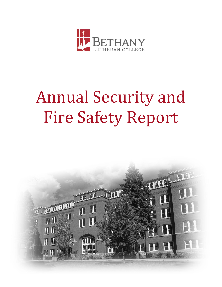

# Annual Security and Fire Safety Report

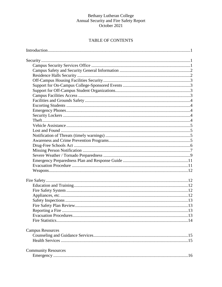# TABLE OF CONTENTS

| <b>Campus Resources</b>    |  |
|----------------------------|--|
|                            |  |
|                            |  |
| <b>Community Resources</b> |  |
|                            |  |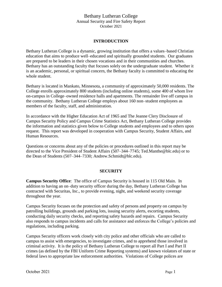# **INTRODUCTION**

Bethany Lutheran College is a dynamic, growing institution that offers a values–based Christian education that aims to produce well–educated and spiritually grounded students. Our graduates are prepared to be leaders in their chosen vocations and in their communities and churches. Bethany has an outstanding faculty that focuses solely on the undergraduate student. Whether it is an academic, personal, or spiritual concern, the Bethany faculty is committed to educating the whole student.

Bethany is located in Mankato, Minnesota, a community of approximately 50,000 residents. The College enrolls approximately 800 students (including online students), some 400 of whom live on-campus in College–owned residence halls and apartments. The remainder live off campus in the community. Bethany Lutheran College employs about 160 non–student employees as members of the faculty, staff, and administration.

In accordance with the Higher Education Act of 1965 and The Jeanne Clery Disclosure of Campus Security Policy and Campus Crime Statistics Act, Bethany Lutheran College provides the information and statistics given below to College students and employees and to others upon request. This report was developed in cooperation with Campus Security, Student Affairs, and Human Resources.

Questions or concerns about any of the policies or procedures outlined in this report may be directed to the Vice President of Student Affairs (507–344–7745; Ted.Manthe@blc.edu) or to the Dean of Students (507–344–7330; Andrew.Schmidt@blc.edu).

#### **SECURITY**

**Campus Security Office**: The office of Campus Security is housed in 115 Old Main. In addition to having an on–duty security officer during the day, Bethany Lutheran College has contracted with Securitas, Inc., to provide evening, night, and weekend security coverage throughout the year.

Campus Security focuses on the protection and safety of persons and property on campus by patrolling buildings, grounds and parking lots, issuing security alerts, escorting students, conducting daily security checks, and reporting safety hazards and repairs. Campus Security also responds to campus incidents and calls for assistance and enforces the College's policies and regulations, including parking.

Campus Security officers work closely with city police and other officials who are called to campus to assist with emergencies, to investigate crimes, and to apprehend those involved in criminal activity. It is the policy of Bethany Lutheran College to report all Part I and Part II crimes (as defined by the FBI Uniform Crime Reporting systems) and known violators of state or federal laws to appropriate law enforcement authorities. Violations of College polices are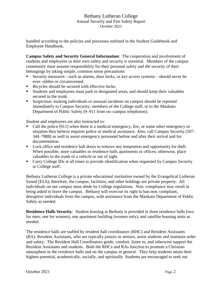handled according to the policies and processes outlined in the Student Guidebook and Employee Handbook.

**Campus Safety and Security General Information**: The cooperation and involvement of students and employees in their own safety and security is essential. Members of the campus community must assume responsibility for their personal safety and the security of their belongings by taking simple, common sense precautions:

- Security measures—such as alarms, door locks, or key access systems—should never be over–ridden or circumvented.
- Bicycles should be secured with effective locks.
- Students and employees must park in designated areas, and should keep their valuables secured in the trunk.
- Suspicious–looking individuals or unusual incidents on campus should be reported immediately to Campus Security, members of the College staff, or to the Mankato Department of Public Safety (9–911 from on–campus telephones).

Student and employees are also instructed to:

- Call the police (911) when there is a medical emergency, fire, or some other emergency or situation they believe requires police or medical assistance. Also, call Campus Security (507– 344–7888) as well to assist emergency personnel before and after their arrival and for documentation.
- Lock office and residence hall doors to remove any temptation and opportunity for theft. When possible, store valuables in residence halls apartments or offices; otherwise, place valuables in the trunk of a vehicle or out of sight.
- Carry College IDs at all times to provide identification when requested by Campus Security or College staff.

Bethany Lutheran College is a private educational institution owned by the Evangelical Lutheran Synod (ELS); therefore, the campus, facilities, and other holdings are private property. All individuals on our campus must abide by College regulations. Non–compliance may result in being asked to leave the campus. Bethany will exercise its right to ban non–compliant, disruptive individuals from the campus, with assistance from the Mankato Department of Public Safety as needed.

**Residence Halls Security**: Student housing at Bethany is provided in three residence halls (two for men; one for women), one apartment building (women only), and satellite housing units as needed.

The residence halls are staffed by resident hall coordinators (RHC) and Resident Assistants (RA). Resident Assistants, who are typically juniors or seniors, assist students and maintain order and safety. The Resident Hall Coordinators guide, comfort, listen to, and otherwise support the Resident Assistants and students. Both the RHCs and RAs function to promote a Christian atmosphere in the residence halls and on the campus in general. They help students attain their highest potential, academically, socially, and spiritually. Students are encouraged to seek out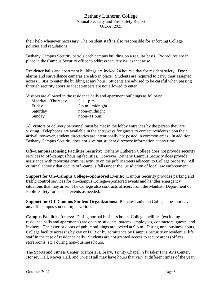their help whenever necessary. The resident staff is also responsible for enforcing College policies and regulations.

Bethany Campus Security patrols each campus building on a regular basis. Procedures are in place in the Campus Security office to address security issues that arise.

Residence halls and apartment buildings are locked 24 hours a day for resident safety. Door alarms and surveillance cameras are also in place. Students are required to carry their assigned access FOBs to enter the building at any hour. Students are advised to be careful when passing through security doors so that strangers are not allowed to enter.

Visitors are allowed in the residence halls and apartment buildings as follows:

| Monday – Thursday | $5-11$ p.m.       |
|-------------------|-------------------|
| Friday            | 5 p.m. - midnight |
| Saturday          | noon-midnight     |
| Sunday            | $noon-11$ p.m.    |

All visitors or delivery personnel must be met in the lobby entrances by the person they are visiting. Telephones are available in the entryways for guests to contact residents upon their arrival; however, student directories are intentionally not posted in common areas. In addition, Bethany Campus Security does not give out student directory information at any time.

**Off–Campus Housing Facilities Security:** Bethany Lutheran College does not provide security services to off–campus housing facilities. However, Bethany Campus Security does provide assistance with reporting criminal activity on the public streets adjacent to College property. All criminal activity that occurs off–campus falls under the jurisdiction of local law enforcement.

**Support for On–Campus College–Sponsored Events:** Campus Security provides parking and traffic control services for on–campus College–sponsored events and handles emergency situations that may arise. The College also contracts officers from the Mankato Department of Public Safety for special events as needed.

**Support for Off–Campus Student Organizations:** Bethany Lutheran College does not have any off–campus student organizations.

**Campus Facilities Access:** During normal business hours, College facilities (excluding residence halls and apartments) are open to students, parents, employees, contractors, guests, and invitees. The exterior doors of public buildings are locked at 9 p.m. During non–business hours, College facility access is by key or FOB or by admittance by Campus Security or residential life staff in the case of residence halls. Students are not granted access to secure areas (offices, storerooms, etc.) during non–business hours.

The Sports and Fitness Center, Memorial Library, Trinity Chapel, Ylvisaker Fine Arts Center, Honsey Hall, Meyer Hall, and Tweit Hall may have hours that vary at different times of the year.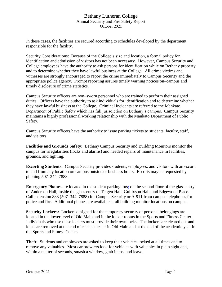In these cases, the facilities are secured according to schedules developed by the department responsible for the facility.

Security Considerations: Because of the College's size and location, a formal policy for identification and admission of visitors has not been necessary. However, Campus Security and College employees have the authority to ask persons for identification while on Bethany property and to determine whether they have lawful business at the College. All crime victims and witnesses are strongly encouraged to report the crime immediately to Campus Security and the appropriate police agency. Prompt reporting assures timely warning notices on–campus and timely disclosure of crime statistics.

Campus Security officers are non–sworn personnel who are trained to perform their assigned duties. Officers have the authority to ask individuals for identification and to determine whether they have lawful business at the College. Criminal incidents are referred to the Mankato Department of Public Safety which has full jurisdiction on Bethany's campus. Campus Security maintains a highly professional working relationship with the Mankato Department of Public Safety.

Campus Security officers have the authority to issue parking tickets to students, faculty, staff, and visitors.

**Facilities and Grounds Safety:** Bethany Campus Security and Building Monitors monitor the campus for irregularities (locks and alarms) and needed repairs of maintenance in facilities, grounds, and lighting.

**Escorting Students:** Campus Security provides students, employees, and visitors with an escort to and from any location on campus outside of business hours. Escorts may be requested by phoning 507–344–7888.

**Emergency Phones** are located in the student parking lots; on the second floor of the glass entry of Anderson Hall; inside the glass entry of Teigen Hall, Gullixson Hall, and Edgewood Place. Call extension 888 (507–344–7888) for Campus Security or 9–911 from campus telephones for police and fire. Additional phones are available at all building monitor locations on campus.

**Security Lockers:** Lockers designed for the temporary security of personal belongings are located in the lower level of Old Main and in the locker rooms in the Sports and Fitness Center. Individuals who use these lockers must provide their own locks. The lockers are cleared out and locks are removed at the end of each semester in Old Main and at the end of the academic year in the Sports and Fitness Center.

**Theft:** Students and employees are asked to keep their vehicles locked at all times and to remove any valuables. Most car prowlers look for vehicles with valuables in plain sight and, within a matter of seconds, smash a window, grab items, and leave.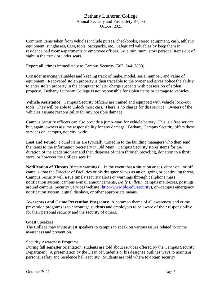Common items taken from vehicles include purses, checkbooks, stereo equipment, cash, athletic equipment, sunglasses, CDs, tools, backpacks, etc. Safeguard valuables by keep them in residence hall rooms/apartments or employee offices. At a minimum, stow personal items out of sight in the trunk or under seats.

Report all crimes immediately to Campus Security (507–344–7888).

Consider marking valuables and keeping track of make, model, serial number, and value of equipment. Recovered stolen property is then traceable to the owner and gives police the ability to enter stolen property in the computer to later charge suspects with possession of stolen property. Bethany Lutheran College is not responsible for stolen items or damage to vehicles.

**Vehicle Assistance**: Campus Security officers are trained and equipped with vehicle lock–out tools. They will be able to unlock most cars. There is no charge for this service. Owners of the vehicles assume responsibility for any possible damage.

Campus Security officers can also provide a jump–start for vehicle battery. This is a free service but, again, owners assume responsibility for any damage. Bethany Campus Security offers these services on–campus, not city–wide.

**Lost and Found:** Found items are typically turned in to the building managers who then send the items to the Information Secretary in Old Main. Campus Security stores items for the duration of the academic year and then disposes of them through recycling, donation to a thrift store, or however the College sees fit.

**Notification of Threats** (timely warnings): In the event that a situation arises, either on– or off– campus, that the Director of Facilities or his designee views as an on–going or continuing threat, Campus Security will issue timely security alerts or warnings through cellphone mass notification system, campus e–mail announcements, *Daily Bulletin*, campus mailboxes, postings around campus, Security Services website [\(http://www.blc.edu/security\)](http://www.blc.edu/security), on–campus emergency notification system, digital displays, or other appropriate means.

**Awareness and Crime Prevention Programs**: A common theme of all awareness and crime prevention programs is to encourage students and employees to be aware of their responsibility for their personal security and the security of others.

#### Guest Speakers

The College may invite guest speakers to campus to speak on various issues related to crime awareness and prevention.

#### Security Awareness Programs

During fall semester orientation, students are told about services offered by the Campus Security Department. A presentation by the Dean of Students or his designee outlines ways to maintain personal safety and residence hall security. Students are told where to obtain security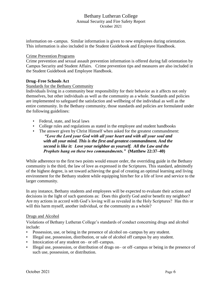information on–campus. Similar information is given to new employees during orientation. This information is also included in the Student Guidebook and Employee Handbook.

#### Crime Prevention Programs

Crime prevention and sexual assault prevention information is offered during fall orientation by Campus Security and Student Affairs. Crime prevention tips and measures are also included in the Student Guidebook and Employee Handbook.

#### **Drug–Free Schools Act**

#### Standards for the Bethany Community

Individuals living in a community bear responsibility for their behavior as it affects not only themselves, but other individuals as well as the community as a whole. Standards and policies are implemented to safeguard the satisfaction and wellbeing of the individual as well as the entire community. In the Bethany community, those standards and policies are formulated under the following guidelines:

- *•* Federal, state, and local laws
- *•* College rules and regulations as stated in the employee and student handbooks
- *•* The answer given by Christ Himself when asked for the greatest commandment: *"Love the Lord your God with all your heart and with all your soul and with all your mind. This is the first and greatest commandment. And the second is like it: Love your neighbor as yourself. All the Law and the Prophets hang on these two commandments."* **(Matthew 22:37–40)**

While adherence to the first two points would ensure order, the overriding guide in the Bethany community is the third, the law of love as expressed in the Scriptures. This standard, admittedly of the highest degree, is set toward achieving the goal of creating an optimal learning and living environment for the Bethany student while equipping him/her for a life of love and service to the larger community.

In any instance, Bethany students and employees will be expected to evaluate their actions and decisions in the light of such questions as: Does this glorify God and/or benefit my neighbor? Are my actions in accord with God's loving will as revealed in the Holy Scriptures? Has this or will this harm myself, another individual, or the community as a whole?

#### Drugs and Alcohol

Violations of Bethany Lutheran College's standards of conduct concerning drugs and alcohol include:

- Possession, use, or being in the presence of alcohol on–campus by any student.
- Illegal use, possession, distribution, or sale of alcohol off campus by any student.
- Intoxication of any student on– or off–campus.
- Illegal use, possession, or distribution of drugs on– or off–campus or being in the presence of such use, possession, or distribution.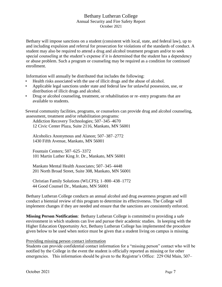Bethany will impose sanctions on a student (consistent with local, state, and federal law), up to and including expulsion and referral for prosecution for violations of the standards of conduct. A student may also be required to attend a drug and alcohol treatment program and/or to seek special counseling at the student's expense if it is determined that the student has a dependency or abuse problem. Such a program or counseling may be required as a condition for continued enrollment.

Information will annually be distributed that includes the following:

- Health risks associated with the use of illicit drugs and the abuse of alcohol.
- Applicable legal sanctions under state and federal law for unlawful possession, use, or distribution of illicit drugs and alcohol.
- Drug or alcohol counseling, treatment, or rehabilitation or re–entry programs that are available to students.

Several community facilities, programs, or counselors can provide drug and alcohol counseling, assessment, treatment and/or rehabilitation programs:

Addiction Recovery Technologies; 507–345–4670 12 Civic Center Plaza, Suite 2116, Mankato, MN 56001

Alcoholics Anonymous and Alanon; 507–387–2772 1430 Fifth Avenue, Mankato, MN 56001

Fountain Centers; 507–625–3372 101 Martin Luther King Jr. Dr., Mankato, MN 56001

Mankato Mental Health Associates; 507–345–4448 201 North Broad Street, Suite 308, Mankato, MN 56001

Christian Family Solutions (WLCFS); 1–800–438–1772 44 Good Counsel Dr., Mankato, MN 56001

Bethany Lutheran College conducts an annual alcohol and drug awareness program and will conduct a biennial review of this program to determine its effectiveness. The College will implement changes if they are needed and ensure that the sanctions are consistently enforced.

**Missing Person Notification**: Bethany Lutheran College is committed to providing a safe environment in which students can live and pursue their academic studies. In keeping with the Higher Education Opportunity Act, Bethany Lutheran College has implemented the procedure given below to be used when notice must be given that a student living on campus is missing.

#### Providing missing person contact information

Students can provide confidential contact information for a "missing person" contact who will be notified by the College in the event the student is officially reported as missing or for other emergencies. This information should be given to the Registrar's Office: 229 Old Main, 507–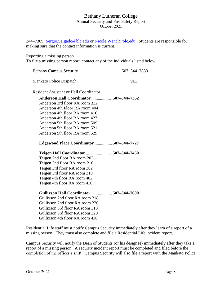344–7309; [Sergio.Salgado@blc.edu](mailto:Sergio.Salgado@blc.edu) or [Nicole.Wencl@blc.edu.](mailto:Nicole.Wencl@blc.edu) Students are responsible for making sure that the contact information is current.

#### Reporting a missing person

To file a missing person report, contact any of the individuals listed below:

| <b>Bethany Campus Security</b>                  | 507-344-7888 |
|-------------------------------------------------|--------------|
| Mankato Police Dispatch                         | 911          |
| <b>Resident Assistant or Hall Coordinator</b>   |              |
| Anderson Hall Coordinator  507-344-7362         |              |
| Anderson 3rd floor RA room 332                  |              |
| Anderson 4th Floor RA room 404                  |              |
| Anderson 4th floor RA room 416                  |              |
| Anderson 4th floor RA room 427                  |              |
| Anderson 5th floor RA room 509                  |              |
| Anderson 5th floor RA room 521                  |              |
| Anderson 5th floor RA room 529                  |              |
| Edgewood Place Coordinator  507-344-7727        |              |
| Teigen Hall Coordinator  507–344–7450           |              |
| Teigen 2nd floor RA room 202                    |              |
| Teigen 2nd floor RA room 210                    |              |
| Teigen 3rd floor RA room 302                    |              |
| Teigen 3rd floor RA room 310                    |              |
| Teigen 4th floor RA room 402                    |              |
| Teigen 4th floor RA room 410                    |              |
| <b>Gullixson Hall Coordinator  507-344-7600</b> |              |
| Gullixson 2nd floor RA room 218                 |              |
| Gullixson 2nd floor RA room 220                 |              |
| Gullixson 3rd floor RA room 318                 |              |
| Gullixson 3rd floor RA room 320                 |              |
| Gullixson 4th floor RA room 420                 |              |
|                                                 |              |

Residential Life staff must notify Campus Security immediately after they learn of a report of a missing person. They must also complete and file a Residential Life incident report.

Campus Security will notify the Dean of Students (or his designee) immediately after they take a report of a missing person. A security incident report must be completed and filed before the completion of the officer's shift. Campus Security will also file a report with the Mankato Police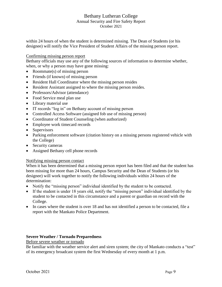within 24 hours of when the student is determined missing. The Dean of Students (or his designee) will notify the Vice President of Student Affairs of the missing person report.

#### Confirming missing person report

Bethany officials may use any of the following sources of information to determine whether, when, or why a person may have gone missing:

- Roommate(s) of missing person
- Friends (if known) of missing person
- Resident Hall Coordinator where the missing person resides
- Resident Assistant assigned to where the missing person resides.
- Professors/Advisor (attendance)
- Food Service meal plan use
- Library material use
- IT records "log in" on Bethany account of missing person
- Controlled Access Software (assigned fob use of missing person)
- Coordinator of Student Counseling (when authorized)
- Employee work timecard records
- Supervisors
- Parking enforcement software (citation history on a missing persons registered vehicle with the College)
- Security cameras
- Assigned Bethany cell phone records

#### Notifying missing person contact

When it has been determined that a missing person report has been filed and that the student has been missing for more than 24 hours, Campus Security and the Dean of Students (or his designee) will work together to notify the following individuals within 24 hours of the determination:

- Notify the "missing person" individual identified by the student to be contacted.
- If the student is under 18 years old, notify the "missing person" individual identified by the student to be contacted in this circumstance and a parent or guardian on record with the College.
- In cases where the student is over 18 and has not identified a person to be contacted, file a report with the Mankato Police Department.

#### **Severe Weather / Tornado Preparedness**

Before severe weather or tornado

Be familiar with the weather service alert and siren system; the city of Mankato conducts a "test" of its emergency broadcast system the first Wednesday of every month at 1 p.m.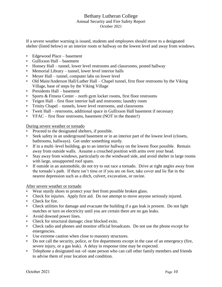If a severe weather warning is issued, students and employees should move to a designated shelter (listed below) or an interior room or hallway on the lowest level and away from windows.

- Edgewood Place basement
- Gullixson Hall basement
- Honsey Hall tunnel, lower level restrooms and classrooms, posted hallway
- Memorial Library tunnel, lower level interior halls
- Meyer Hall tunnel, computer labs on lower level
- Old Main/Anderson Hall/Luther Hall Chapel tunnel, first floor restrooms by the Viking Village, base of steps by the Viking Village
- Presidents Hall basement
- Sports & Fitness Center north gym locker rooms, first floor restrooms
- Teigen Hall first floor interior hall and restrooms; laundry room
- Trinity Chapel tunnels, lower level restrooms, and classrooms
- Tweit Hall restrooms, additional space in Gullixson Hall basement if necessary
- YFAC first floor restrooms, basement (NOT in the theater!)

During severe weather or tornado

- Proceed to the designated shelters, if possible.
- Seek safety in an underground basement or in an interior part of the lowest level (closets, bathrooms, hallways). Get under something sturdy.
- If in a multi–level building, go to an interior hallway on the lowest floor possible. Remain away from outside walls. Assume a crouched position with arms over your head.
- Stay away from windows, particularly on the windward side, and avoid shelter in large rooms with large, unsupported roof spans.
- If outside in an automobile, do not try to out race a tornado. Drive at right angles away from the tornado's path. If there isn't time or if you are on foot, take cover and lie flat in the nearest depression such as a ditch, culvert, excavation, or ravine.

#### After severe weather or tornado

- Wear sturdy shoes to protect your feet from possible broken glass.
- Check for injuries. Apply first aid. Do not attempt to move anyone seriously injured.
- Check for fire.
- Check utilities for damage and evacuate the building if a gas leak is present. Do not light matches or turn on electricity until you are certain there are no gas leaks.
- Avoid downed power lines.
- Check for structural damage; clear blocked exits.
- Check radio and phones and monitor official broadcasts. Do not use the phone except for emergencies.
- Use extreme caution when close to masonry structures.
- Do not call the security, police, or fire departments except in the case of an emergency (fire, severe injury, or a gas leak). A delay in response time may be expected.
- Telephone a designated out–of–state person who can call other family members and friends to advise them of your location and condition.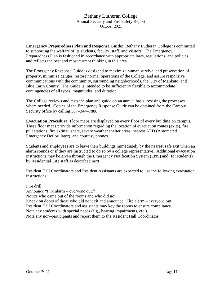**Emergency Preparedness Plan and Response Guide**: Bethany Lutheran College is committed to supporting the welfare of its students, faculty, staff, and visitors. The Emergency Preparedness Plan is fashioned in accordance with appropriate laws, regulations, and policies, and reflects the best and most current thinking in this area.

The Emergency Response Guide is designed to maximize human survival and preservation of property, minimize danger, restore normal operations of the College, and assure responsive communications with the community, surrounding neighborhoods, the City of Mankato, and Blue Earth County. The Guide is intended to be sufficiently flexible to accommodate contingencies of all types, magnitudes, and duration.

The College reviews and tests the plan and guide on an annual basis, revising the processes where needed. Copies of the Emergency Response Guide can be obtained from the Campus Security office by calling 507–344–7888.

**Evacuation Procedure**: Floor maps are displayed on every floor of every building on campus. These floor maps provide information regarding the location of evacuation routes (exits), fire pull stations, fire extinguishers, severe weather shelter areas, nearest AED (Automated Emergency Defibrillator), and courtesy phones.

Students and employees are to leave their buildings immediately by the nearest safe exit when an alarm sounds or if they are instructed to do so by a college representative. Additional evacuation instructions may be given through the Emergency Notification System (ENS) and (for students) by Residential Life staff as described next.

Resident Hall Coordinators and Resident Assistants are expected to use the following evacuation instructions:

Fire drill

Announce "Fire alarm – everyone out."

Notice who came out of the rooms and who did not.

Knock on doors of those who did not exit and announce "Fire alarm – everyone out."

Resident Hall Coordinators and assistants may key the rooms to ensure compliance.

Note any students with special needs (e.g., hearing impairments, etc.).

Note any non–participants and report them to the Resident Hall Coordinator.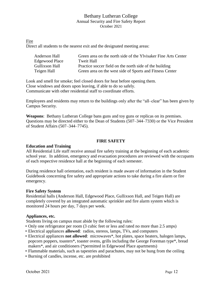Fire Direct all students to the nearest exit and the designated meeting areas:

| Anderson Hall  | Green area on the north side of the Ylvisaker Fine Arts Center |
|----------------|----------------------------------------------------------------|
| Edgewood Place | Tweit Hall                                                     |
| Gullixson Hall | Practice soccer field on the north side of the building        |
| Teigen Hall    | Green area on the west side of Sports and Fitness Center       |

Look and smell for smoke; feel closed doors for heat before opening them. Close windows and doors upon leaving, if able to do so safely. Communicate with other residential staff to coordinate efforts.

Employees and residents may return to the buildings only after the "all–clear" has been given by Campus Security.

**Weapons**: Bethany Lutheran College bans guns and toy guns or replicas on its premises. Questions may be directed either to the Dean of Students (507–344–7330) or the Vice President of Student Affairs (507–344–7745).

#### **FIRE SAFETY**

# **Education and Training**

All Residential Life staff receive annual fire safety training at the beginning of each academic school year. In addition, emergency and evacuation procedures are reviewed with the occupants of each respective residence hall at the beginning of each semester.

During residence hall orientation, each resident is made aware of information in the Student Guidebook concerning fire safety and appropriate actions to take during a fire alarm or fire emergency.

#### **Fire Safety System**

Residential halls (Anderson Hall, Edgewood Place, Gullixson Hall, and Teigen Hall) are completely covered by an integrated automatic sprinkler and fire alarm system which is monitored 24 hours per day, 7 days per week.

#### **Appliances, etc.**

Students living on campus must abide by the following rules:

- Only one refrigerator per room (3 cubic feet or less and rated no more than 2.5 amps)
- Electrical appliances **allowed**: radios, stereos, lamps, TVs, and computers
- Electrical appliances **not allowed**: microwaves\*, hot plates, space heaters, halogen lamps, popcorn poppers, toasters\*, toaster ovens, grills including the George Foreman type\*, bread makers\*, and air conditioners (\*permitted in Edgewood Place apartments)
- Flammable materials, such as tapestries and parachutes, may not be hung from the ceiling
- Burning of candles, incense, etc. are prohibited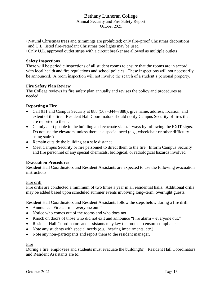- Natural Christmas trees and trimmings are prohibited; only fire–proof Christmas decorations and U.L. listed fire–retardant Christmas tree lights may be used
- Only U.L. approved outlet strips with a circuit breaker are allowed as multiple outlets

#### **Safety Inspections**

There will be periodic inspections of all student rooms to ensure that the rooms are in accord with local health and fire regulations and school policies. These inspections will not necessarily be announced. A room inspection will not involve the search of a student's personal property.

#### **Fire Safety Plan Review**

The College reviews its fire safety plan annually and revises the policy and procedures as needed.

#### **Reporting a Fire**

- Call 911 and Campus Security at 888 (507–344–7888); give name, address, location, and extent of the fire. Resident Hall Coordinators should notify Campus Security of fires that are reported to them.
- Calmly alert people in the building and evacuate via stairways by following the EXIT signs. Do not use the elevators, unless there is a special need (e.g., wheelchair or other difficulty using stairs).
- Remain outside the building at a safe distance.
- Meet Campus Security or fire personnel to direct them to the fire. Inform Campus Security and fire personnel of any special chemicals, biological, or radiological hazards involved.

#### **Evacuation Procedures**

Resident Hall Coordinators and Resident Assistants are expected to use the following evacuation instructions:

#### Fire drill

Fire drills are conducted a minimum of two times a year in all residential halls. Additional drills may be added based upon scheduled summer events involving long–term, overnight guests.

Resident Hall Coordinators and Resident Assistants follow the steps below during a fire drill:

- Announce "Fire alarm everyone out."
- Notice who comes out of the rooms and who does not.
- Knock on doors of those who did not exit and announce "Fire alarm everyone out."
- Resident Hall Coordinators and assistants may key the rooms to ensure compliance.
- Note any students with special needs (e.g., hearing impairments, etc.).
- Note any non–participants and report them to the resident manager.

#### Fire

During a fire, employees and students must evacuate the building(s). Resident Hall Coordinators and Resident Assistants are to: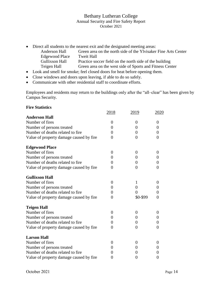- Direct all students to the nearest exit and the designated meeting areas:
	- Anderson Hall Green area on the north side of the Ylvisaker Fine Arts Center Edgewood Place Tweit Hall Gullixson Hall Practice soccer field on the north side of the building Teigen Hall Green area on the west side of Sports and Fitness Center
- Look and smell for smoke; feel closed doors for heat before opening them.
- Close windows and doors upon leaving, if able to do so safely.
- Communicate with other residential staff to coordinate efforts.

Employees and residents may return to the buildings only after the "all–clear" has been given by Campus Security.

#### **Fire Statistics**

|                                         | 2018           | 2019           | 2020     |
|-----------------------------------------|----------------|----------------|----------|
| <b>Anderson Hall</b>                    |                |                |          |
| Number of fires                         | $\overline{0}$ | $\overline{0}$ | $\Omega$ |
| Number of persons treated               | 0              | 0              | $\Omega$ |
| Number of deaths related to fire        | 0              | $\Omega$       | 0        |
| Value of property damage caused by fire | 0              | $\Omega$       | 0        |
| <b>Edgewood Place</b>                   |                |                |          |
| Number of fires                         | $\Omega$       | $\Omega$       | $\Omega$ |
| Number of persons treated               | 0              | 0              | 0        |
| Number of deaths related to fire.       | 0              | 0              | $\Omega$ |
| Value of property damage caused by fire | 0              | $\Omega$       | $\Omega$ |
| <b>Gullixson Hall</b>                   |                |                |          |
| Number of fires                         | $\Omega$       | 1              | $\theta$ |
| Number of persons treated               | 0              | 0              | 0        |
| Number of deaths related to fire        | 0              | 0              | 0        |
| Value of property damage caused by fire | 0              | \$0-\$99       | $\theta$ |
| <b>Teigen Hall</b>                      |                |                |          |
| Number of fires                         | 0              | $\Omega$       | $_{0}$   |
| Number of persons treated               | 0              | 0              | $\Omega$ |
| Number of deaths related to fire        | 0              | $\theta$       | 0        |
| Value of property damage caused by fire | 0              | $\Omega$       | $\Omega$ |
| <b>Larson Hall</b>                      |                |                |          |
| Number of fires                         | $\Omega$       | $\Omega$       | $_{0}$   |
| Number of persons treated               | 0              | 0              | 0        |
| Number of deaths related to fire.       | 0              | $\theta$       |          |
| Value of property damage caused by fire | 0              | 0              | 0        |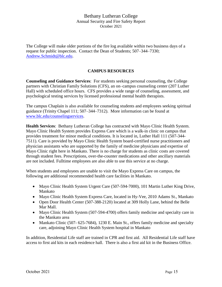The College will make older portions of the fire log available within two business days of a request for public inspection. Contact the Dean of Students; 507–344–7330; [Andrew.Schmidt@blc.edu.](mailto:Andrew.Schmidt@blc.edu)

# **CAMPUS RESOURCES**

**Counseling and Guidance Services**: For students seeking personal counseling, the College partners with Christian Family Solutions (CFS), an on–campus counseling center (207 Luther Hall) with scheduled office hours. CFS provides a wide range of counseling, assessment, and psychological testing services by licensed professional mental health therapists.

The campus Chaplain is also available for counseling students and employees seeking spiritual guidance (Trinity Chapel 111; 507–344–7312). More information can be found at [www.blc.edu/counselingservices.](http://www.blc.edu/counselingservices)

**Health Services**: Bethany Lutheran College has contracted with Mayo Clinic Health System. Mayo Clinic Health System provides Express Care which is a walk-in clinic on campus that provides treatment for minor medical conditions. It is located in, Luther Hall 111 (507-344- 7511). Care is provided by Mayo Clinic Health System board-certified nurse practitioners and physician assistants who are supported by the family of medicine physicians and expertise of Mayo Clinic right here in Mankato. There is no charge for students as clinic costs are covered through student fees. Prescriptions, over-the-counter medications and other ancillary materials are not included. Fulltime employees are also able to use this service at no charge.

When students and employees are unable to visit the Mayo Express Care on campus, the following are additional recommended health care facilities in Mankato.

- Mayo Clinic Health System Urgent Care (507-594-7000), 101 Martin Luther King Drive, Mankato
- Mayo Clinic Health System Express Care, located in Hy-Vee, 2010 Adams St., Mankato
- Open Door Health Center (507-388-2120) located at 309 Holly Lane, behind the Belle Mar Mall.
- Mayo Clinic Health System (507-594-4700) offers family medicine and specialty care in the Mankato area
- Mankato Clinic (507- 625-7684), 1230 E. Main St., offers family medicine and specialty care, adjoining Mayo Clinic Health System hospital in Mankato

In addition, Residential Life staff are trained in CPR and first aid. All Residential Life staff have access to first aid kits in each residence hall. There is also a first aid kit in the Business Office.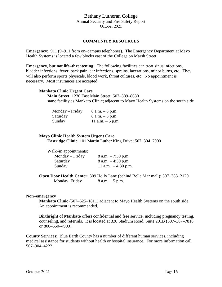#### **COMMUNITY RESOURCES**

**Emergency**: 911 (9–911 from on–campus telephones). The Emergency Department at Mayo Health Systems is located a few blocks east of the College on Marsh Street.

**Emergency, but not life–threatening**: The following facilities can treat sinus infections, bladder infections, fever, back pain, ear infections, sprains, lacerations, minor burns, etc. They will also perform sports physicals, blood work, throat cultures, etc. No appointment is necessary. Most insurances are accepted.

#### **Mankato Clinic Urgent Care**

**Main Street**; 1230 East Main Street; 507–389–8680 same facility as Mankato Clinic; adjacent to Mayo Health Systems on the south side

| Monday – Friday | $8 a.m. - 8 p.m.$ |
|-----------------|-------------------|
| Saturday        | $8 a.m. - 5 p.m.$ |
| Sunday          | 11 a.m. $-5$ p.m. |

#### **Mayo Clinic Health System Urgent Care**

**Eastridge Clinic**; 101 Martin Luther King Drive; 507–304–7000

| Walk-in appointments: |                       |
|-----------------------|-----------------------|
| $Monday-Friday$       | $8$ a.m. $-7:30$ p.m. |
| Saturday              | 8 a.m. $-4:30$ p.m.   |
| Sunday                | 11 a.m. $-4:30$ p.m.  |

**Open Door Health Center**; 309 Holly Lane (behind Belle Mar mall); 507–388–2120 Monday–Friday 8 a.m. – 5 p.m.

#### **Non–emergency**

**Mankato Clinic** (507–625–1811) adjacent to Mayo Health Systems on the south side. An appointment is recommended.

**Birthright of Mankato** offers confidential and free service, including pregnancy testing, counseling, and referrals. It is located at 330 Stadium Road, Suite 201B (507–387–7818 or 800–550–4900).

**County Services**: Blue Earth County has a number of different human services, including medical assistance for students without health or hospital insurance. For more information call 507–304–4222.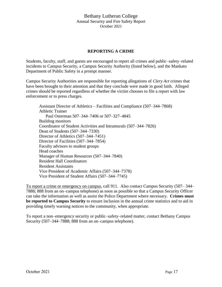# **REPORTING A CRIME**

Students, faculty, staff, and guests are encouraged to report all crimes and public–safety–related incidents to Campus Security, a Campus Security Authority (listed below), and the Mankato Department of Public Safety in a prompt manner.

Campus Security Authorities are responsible for reporting allegations of *Clery Act* crimes that have been brought to their attention and that they conclude were made in good faith. Alleged crimes should be reported regardless of whether the victim chooses to file a report with law enforcement or to press charges.

Assistant Director of Athletics – Facilities and Compliance (507–344–7868) Athletic Trainer Paul Osterman 507–344–7406 or 507–327–4845 Building monitors Coordinator of Student Activities and Intramurals (507–344–7826) Dean of Students (507–344–7330) Director of Athletics (507–344–7451) Director of Facilities (507–344–7854) Faculty advisors to student groups Head coaches Manager of Human Resources (507–344–7840) Resident Hall Coordinators Resident Assistants Vice President of Academic Affairs (507–344–7378) Vice President of Student Affairs (507–344–7745)

To report a crime or emergency on campus, call 911. Also contact Campus Security (507– 344– 7888; 888 from an on–campus telephone) as soon as possible so that a Campus Security Officer can take the information as well as assist the Police Department where necessary. **Crimes must be reported to Campus Security** to ensure inclusion in the annual crime statistics and to aid in providing timely warning notices to the community, when appropriate.

To report a non–emergency security or public–safety–related matter, contact Bethany Campus Security (507–344–7888; 888 from an on–campus telephone).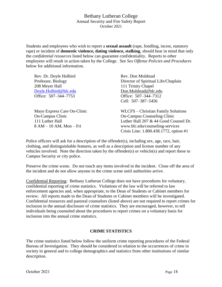Students and employees who wish to report a **sexual assault** (rape, fondling, incest, statutory rape) or incident of **domestic violence, dating violence, stalking**, should bear in mind that only the *confidential resources* listed below can guarantee confidentiality. Reports to other employees will result in action taken by the College. See *Sex Offense Policies and Procedures*  below for additional information.

| Rev. Dr. Doyle Holbird      | Rev. Don Moldstad                      |
|-----------------------------|----------------------------------------|
| Professor, Biology          | Director of Spiritual Life/Chaplain    |
| 208 Meyer Hall              | 111 Trinity Chapel                     |
| Doyle.Holbird@blc.edu       | Don.Moldstad@blc.edu                   |
| Office: 507-344-7753        | Office: 507-344-7312                   |
|                             | Cell: 507-387-5456                     |
| Mayo Express Care On-Clinic | WLCFS – Christian Family Solutions     |
| <b>On-Campus Clinic</b>     | <b>On-Campus Counseling Clinic</b>     |
| 111 Luther Hall             | Luther Hall 207 & 44 Good Counsel Dr.  |
| $8 AM - 10 AM$ , Mon - Fri  | www.blc.edu/counseling-services        |
|                             | Crisis Line: 1.800.438.1772, option #1 |

Police officers will ask for a description of the offender(s), including sex, age, race, hair, clothing, and distinguishable features, as well as a description and license number of any vehicles involved. Note the direction taken by the offender(s) or vehicle(s) and report these to Campus Security or city police.

Preserve the crime scene. Do not touch any items involved in the incident. Close off the area of the incident and do not allow anyone in the crime scene until authorities arrive.

Confidential Reporting: Bethany Lutheran College does not have procedures for voluntary, confidential reporting of crime statistics. Violations of the law will be referred to law enforcement agencies and, when appropriate, to the Dean of Students or Cabinet members for review. All reports made to the Dean of Students or Cabinet members will be investigated. Confidential resources and pastoral counselors (listed above) are not required to report crimes for inclusion in the annual disclosure of crime statistics. They are encouraged, however, to tell individuals being counseled about the procedures to report crimes on a voluntary basis for inclusion into the annual crime statistics.

# **CRIME STATISTICS**

The crime statistics listed below follow the uniform crime reporting procedures of the Federal Bureau of Investigation. They should be considered in relation to the occurrences of crime in society in general and to college demographics and statistics from other institutions of similar description.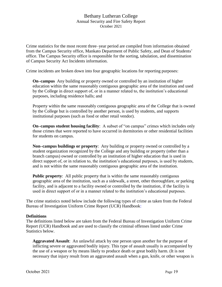Crime statistics for the most recent three–year period are compiled from information obtained from the Campus Security office, Mankato Department of Public Safety, and Dean of Students' office. The Campus Security office is responsible for the sorting, tabulation, and dissemination of Campus Security Act Incidents information.

Crime incidents are broken down into four geographic locations for reporting purposes:

**On–campus** Any building or property owned or controlled by an institution of higher education within the same reasonably contiguous geographic area of the institution and used by the College in direct support of, or in a manner related to, the institution's educational purposes, including residence halls; and

Property within the same reasonably contiguous geographic area of the College that is owned by the College but is controlled by another person, is used by students, and supports institutional purposes (such as food or other retail vendor).

**On–campus student housing facility:** A subset of "on campus" crimes which includes only those crimes that were reported to have occurred in dormitories or other residential facilities for students on campus.

**Non–campus buildings or property**: Any building or property owned or controlled by a student organization recognized by the College and any building or property (other than a branch campus) owned or controlled by an institution of higher education that is used in direct support of, or in relation to, the institution's educational purposes, is used by students, and is not within the same reasonably contiguous geographic area of the institution.

**Public property:** All public property that is within the same reasonably contiguous geographic area of the institution, such as a sidewalk, a street, other thoroughfare, or parking facility, and is adjacent to a facility owned or controlled by the institution, if the facility is used in direct support of or in a manner related to the institution's educational purposes.

The crime statistics noted below include the following types of crime as taken from the Federal Bureau of Investigation Uniform Crime Report (UCR) Handbook:

# **Definitions**

The definitions listed below are taken from the Federal Bureau of Investigation Uniform Crime Report (UCR) Handbook and are used to classify the criminal offenses listed under Crime Statistics below.

**Aggravated Assault**: An unlawful attack by one person upon another for the purpose of inflicting severe or aggravated bodily injury. This type of assault usually is accompanied by the use of a weapon or by means likely to produce death or great bodily harm. (It is not necessary that injury result from an aggravated assault when a gun, knife, or other weapon is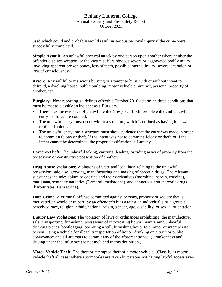used which could and probably would result in serious personal injury if the crime were successfully completed.)

**Simple Assault**: An unlawful physical attack by one person upon another where neither the offender displays weapon, or the victim suffers obvious severe or aggravated bodily injury involving apparent broken bones, loss of teeth, possible internal injury, severe laceration or loss of consciousness.

**Arson**: Any willful or malicious burning or attempt to burn, with or without intent to defraud, a dwelling house, public building, motor vehicle or aircraft, personal property of another, etc.

**Burglary**: New reporting guidelines effective October 2010 determine three conditions that must be met to classify an incident as a Burglary.

- There must be evidence of unlawful entry (trespass). Both forcible entry and unlawful entry–no force are counted.
- The unlawful entry must occur within a structure, which is defined as having four walls, a roof, and a door.
- The unlawful entry into a structure must show evidence that the entry was made in order to commit a felony or theft. If the intent was not to commit a felony or theft, or if the intent cannot be determined, the proper classification is Larceny.

**Larceny/Theft**: The unlawful taking, carrying, leading, or riding away of property from the possession or constructive possession of another.

**Drug Abuse Violations**: Violations of State and local laws relating to the unlawful possession, sale, use, growing, manufacturing and making of narcotic drugs. The relevant substances include: opium or cocaine and their derivatives (morphine, heroin, codeine), marijuana, synthetic narcotics (Demerol, methadone), and dangerous non–narcotic drugs (barbiturates, Benzedrine).

**Hate Crime**: A criminal offense committed against persons, property or society that is motivated, in whole or in part, by an offender's bias against an individual's or a group's perceived race, religion, ethnic/national origin, gender, age, disability, or sexual orientation.

**Liquor Law Violations**: The violation of laws or ordinances prohibiting: the manufacture, sale, transporting, furnishing, possessing of intoxicating liquor; maintaining unlawful drinking places, bootlegging; operating a still, furnishing liquor to a minor or intemperate person; using a vehicle for illegal transportation of liquor, drinking on a train or public conveyance; and all attempts to commit any of the aforementioned. (Drunkenness and driving under the influence are not included in this definition.)

**Motor Vehicle Theft**: The theft or attempted theft of a motor vehicle. (Classify as motor vehicle theft all cases where automobiles are taken by persons not having lawful access even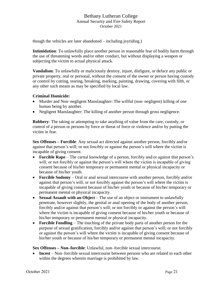though the vehicles are later abandoned – including joyriding.)

**Intimidation**: To unlawfully place another person in reasonable fear of bodily harm through the use of threatening words and/or other conduct, but without displaying a weapon or subjecting the victim to actual physical attack.

**Vandalism**: To unlawfully or maliciously destroy, injure, disfigure, or deface any public or private property, real or personal, without the consent of the owner or person having custody or control by cutting, tearing, breaking, marking, painting, drawing, covering with filth, or any other such means as may be specified by local law.

#### **Criminal Homicide:**

- Murder and Non–negligent Manslaughter: The willful (non–negligent) killing of one human being by another.
- Negligent Manslaughter: The killing of another person through gross negligence.

**Robbery**: The taking or attempting to take anything of value from the care, custody, or control of a person or persons by force or threat of force or violence and/or by putting the victim in fear.

**Sex Offenses – Forcible**: Any sexual act directed against another person, forcibly and/or against that person's will; or not forcibly or against the person's will where the victim is incapable of giving consent.

- **Forcible Rape** The carnal knowledge of a person, forcibly and/or against that person's will; or not forcibly or against the person's will where the victim is incapable of giving consent because of his/her temporary or permanent mental or physical incapacity or because of his/her youth.
- **Forcible Sodomy** Oral or anal sexual intercourse with another person, forcibly and/or against that person's will; or not forcibly against the person's will where the victim is incapable of giving consent because of his/her youth or because of his/her temporary or permanent mental or physical incapacity.
- **Sexual Assault with an Object** The use of an object or instrument to unlawfully penetrate, however slightly, the genital or anal opening of the body of another person, forcibly and/or against that person's will; or not forcibly or against the person's will where the victim is incapable of giving consent because of his/her youth or because of his/her temporary or permanent mental or physical incapacity.
- **Forcible Fondling** The touching of the private body parts of another person for the purpose of sexual gratification, forcibly and/or against that person's will; or not forcibly or against the person's will where the victim is incapable of giving consent because of his/her youth or because of his/her temporary or permanent mental incapacity.

**Sex Offenses – Non–forcible**: Unlawful, non–forcible sexual intercourse.

• **Incest** – Non–forcible sexual intercourse between persons who are related to each other within the degrees wherein marriage is prohibited by law.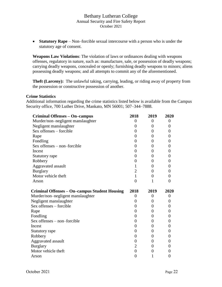• **Statutory Rape** – Non–forcible sexual intercourse with a person who is under the statutory age of consent.

**Weapons Law Violations**: The violation of laws or ordinances dealing with weapons offenses, regulatory in nature, such as: manufacture, sale, or possession of deadly weapons; carrying deadly weapons, concealed or openly; furnishing deadly weapons to minors; aliens possessing deadly weapons; and all attempts to commit any of the aforementioned.

**Theft (Larceny):** The unlawful taking, carrying, leading, or riding away of property from the possession or constructive possession of another.

#### **Crime Statistics**

Additional information regarding the crime statistics listed below is available from the Campus Security office, 700 Luther Drive, Mankato, MN 56001; 507–344–7888.

| Criminal Offenses - On-campus                 | 2018             | 2019             | 2020           |
|-----------------------------------------------|------------------|------------------|----------------|
| Murder/non-negligent manslaughter             | $\boldsymbol{0}$ | $\overline{0}$   | $\overline{0}$ |
| Negligent manslaughter                        | $\theta$         | $\overline{0}$   | 0              |
| Sex offenses – forcible                       | 0                | $\Omega$         | 0              |
| Rape                                          | 0                | $\overline{0}$   | 0              |
| Fondling                                      | 0                | $\overline{0}$   | 0              |
| $Sex$ offenses $-$ non-forcible               | $\overline{0}$   | $\Omega$         | 0              |
| Incest                                        | 0                | $\overline{0}$   | 0              |
| Statutory rape                                | 0                | $\overline{0}$   | 0              |
| Robbery                                       | 0                | $\overline{0}$   | 0              |
| Aggravated assault                            | 1                | $\Omega$         | 0              |
| <b>Burglary</b>                               | $\overline{2}$   | $\boldsymbol{0}$ | 0              |
| Motor vehicle theft                           | $\mathbf{1}$     | $\overline{0}$   | 0              |
| Arson                                         | $\overline{0}$   | 1                | 0              |
| Criminal Offenses - On-campus Student Housing | 2018             | 2019             | 2020           |
| Murder/non-negligent manslaughter             | $\overline{0}$   | $\overline{0}$   | 0              |
| Negligent manslaughter                        | 0                | $\overline{0}$   | 0              |
| Sex offenses - forcible                       | $\overline{0}$   | $\boldsymbol{0}$ | 0              |
|                                               |                  |                  |                |
| Rape                                          | 0                | $\overline{0}$   | 0              |
| Fondling                                      | 0                | $\Omega$         | 0              |
| $Sex$ offenses $-$ non-forcible               | 0                | $\overline{0}$   | 0              |
| Incest                                        | 0                | $\overline{0}$   | 0              |
| Statutory rape                                | $\overline{0}$   | $\overline{0}$   | 0              |
| Robbery                                       | 0                | $\overline{0}$   | 0              |
| Aggravated assault                            | $\overline{0}$   | $\overline{0}$   | 0              |
| <b>Burglary</b>                               | $\overline{c}$   | $\Omega$         | 0              |
| Motor vehicle theft                           | $\boldsymbol{0}$ | $\theta$         | 0              |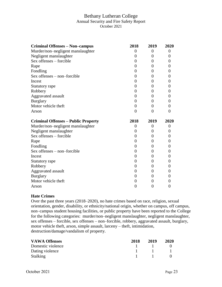| <b>Criminal Offenses - Non-campus</b>      | 2018             | 2019             | 2020             |
|--------------------------------------------|------------------|------------------|------------------|
| Murder/non-negligent manslaughter          | $\boldsymbol{0}$ | $\boldsymbol{0}$ | $\boldsymbol{0}$ |
| Negligent manslaughter                     | $\overline{0}$   | 0                | 0                |
| Sex offenses - forcible                    | 0                | 0                | 0                |
| Rape                                       | $\overline{0}$   | 0                | 0                |
| Fondling                                   | $\boldsymbol{0}$ | 0                | 0                |
| Sex offenses - non-forcible                | 0                | 0                | 0                |
| Incest                                     | $\overline{0}$   | 0                | 0                |
| Statutory rape                             | 0                | 0                | 0                |
| Robbery                                    | $\overline{0}$   | $\overline{0}$   | $\overline{0}$   |
| Aggravated assault                         | $\overline{0}$   | $\overline{0}$   | 0                |
| <b>Burglary</b>                            | $\overline{0}$   | $\overline{0}$   | $\overline{0}$   |
| Motor vehicle theft                        | $\boldsymbol{0}$ | $\overline{0}$   | 0                |
| Arson                                      | $\overline{0}$   | $\overline{0}$   | 0                |
| <b>Criminal Offenses – Public Property</b> | 2018             | 2019             | 2020             |
| Murder/non-negligent manslaughter          | $\boldsymbol{0}$ | 0                | $\boldsymbol{0}$ |
| Negligent manslaughter                     | $\overline{0}$   | 0                | 0                |
| Sex offenses – forcible                    | $\overline{0}$   | $\overline{0}$   | $\overline{0}$   |
| Rape                                       | $\overline{0}$   | $\overline{0}$   | 0                |
| Fondling                                   | $\overline{0}$   | 0                | 0                |
| Sex offenses - non-forcible                | 0                | $\overline{0}$   | 0                |
| Incest                                     | $\overline{0}$   | 0                | 0                |
| Statutory rape                             | $\overline{0}$   | 0                | 0                |
| Robbery                                    | $\overline{0}$   | 0                | 0                |
| Aggravated assault                         | $\overline{0}$   | $\overline{0}$   | 0                |
| <b>Burglary</b>                            | $\overline{0}$   | $\overline{0}$   | 0                |
| Motor vehicle theft                        | $\boldsymbol{0}$ | 0                | 0                |
| Arson                                      | $\boldsymbol{0}$ | $\overline{0}$   | $\boldsymbol{0}$ |

#### **Hate Crimes**

Over the past three years (2018–2020), no hate crimes based on race, religion, sexual orientation, gender, disability, or ethnicity/national origin, whether on campus, off campus, non–campus student housing facilities, or public property have been reported to the College for the following categories: murder/non–negligent manslaughter, negligent manslaughter, sex offenses – forcible, sex offenses – non–forcible, robbery, aggravated assault, burglary, motor vehicle theft, arson, simple assault, larceny – theft, intimidation, destruction/damage/vandalism of property.

| <b>VAWA Offenses</b> | 2018 | 2019                                                | 2020 |
|----------------------|------|-----------------------------------------------------|------|
| Domestic violence    |      | and the contract of the contract of the contract of |      |
| Dating violence      |      | $\sim$ 1                                            |      |
| <b>Stalking</b>      |      | $1 \quad 1 \quad 1$                                 |      |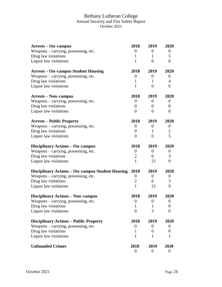| <b>Arrests – On–campus</b>                       | 2018             | 2019             | 2020             |
|--------------------------------------------------|------------------|------------------|------------------|
| Weapons - carrying, possessing, etc.             | $\boldsymbol{0}$ | $\boldsymbol{0}$ | $\boldsymbol{0}$ |
| Drug law violations                              | $\mathbf{1}$     | $\mathbf{1}$     | 5                |
| Liquor law violations                            | $\mathbf{1}$     | $\overline{0}$   | $\overline{0}$   |
| <b>Arrests – On–campus Student Housing</b>       | 2018             | 2019             | 2020             |
| Weapons – carrying, possessing, etc.             | $\boldsymbol{0}$ | $\theta$         | $\overline{0}$   |
| Drug law violations                              | $\mathbf{1}$     | 1                | $\overline{4}$   |
| Liquor law violations                            | $\mathbf{1}$     | $\overline{0}$   | $\overline{0}$   |
| <b>Arrests – Non–campus</b>                      | 2018             | 2019             | 2020             |
| Weapons - carrying, possessing, etc.             | $\boldsymbol{0}$ | $\overline{0}$   | $\overline{0}$   |
| Drug law violations                              | $\boldsymbol{0}$ | $\overline{0}$   | $\overline{0}$   |
| Liquor law violations                            | $\overline{0}$   | $\overline{0}$   | $\boldsymbol{0}$ |
| <b>Arrests - Public Property</b>                 | 2018             | 2019             | 2020             |
| Weapons – carrying, possessing, etc.             | 0                | $\boldsymbol{0}$ | $\boldsymbol{0}$ |
| Drug law violations                              | $\boldsymbol{0}$ | $\mathbf{1}$     | $\overline{2}$   |
| Liquor law violations                            | $\overline{0}$   | $\overline{0}$   | 5                |
| <b>Disciplinary Actions - On-campus</b>          | 2018             | 2019             | 2020             |
| Weapons - carrying, possessing, etc.             | $\boldsymbol{0}$ | $\boldsymbol{0}$ | $\boldsymbol{0}$ |
| Drug law violations                              | $\overline{2}$   | 6                | 3                |
| Liquor law violations                            | $\mathbf{1}$     | 21               | 9                |
| Disciplinary Actions – On–campus Student Housing | 2018             | 2019             | 2020             |
| Weapons – carrying, possessing, etc.             | $\boldsymbol{0}$ | $\overline{0}$   | $\boldsymbol{0}$ |
| Drug law violations                              | $\overline{2}$   | 6                | 3                |
| Liquor law violations                            | $\mathbf{1}$     | 21               | 9                |
| <b>Disciplinary Actions - Non-campus</b>         | 2018             | 2019             | 2020             |
| Weapons - carrying, possessing, etc.             | $\boldsymbol{0}$ | $\boldsymbol{0}$ | $\boldsymbol{0}$ |
| Drug law violations                              | 1                | $\mathbf{1}$     | $\boldsymbol{0}$ |
| Liquor law violations                            | $\overline{0}$   | 3                | $\overline{0}$   |
| <b>Disciplinary Actions – Public Property</b>    | 2018             | 2019             | 2020             |
| Weapons – carrying, possessing, etc.             | 0                | $\overline{0}$   | $\boldsymbol{0}$ |
| Drug law violations                              | 1                | $\overline{0}$   | $\boldsymbol{0}$ |
| Liquor law violations                            | $\mathbf{1}$     | 1                | $\mathbf{1}$     |
| <b>Unfounded Crimes</b>                          | 2018             | 2019             | 2020             |
|                                                  | $\boldsymbol{0}$ | $\overline{0}$   | $\boldsymbol{0}$ |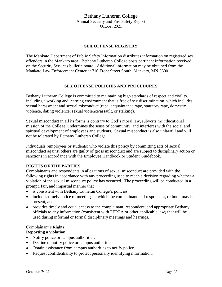#### **SEX OFFENSE REGISTRY**

The Mankato Department of Public Safety Information distributes information on registered sex offenders in the Mankato area. Bethany Lutheran College posts pertinent information received on the Security Services bulletin board. Additional information may be obtained from the Mankato Law Enforcement Center at 710 Front Street South, Mankato, MN 56001.

#### **SEX OFFENSE POLICIES AND PROCEDURES**

Bethany Lutheran College is committed to maintaining high standards of respect and civility, including a working and learning environment that is free of sex discrimination, which includes sexual harassment and sexual misconduct (rape, acquaintance rape, statutory rape, domestic violence, dating violence, sexual violence/assault, or stalking).

Sexual misconduct in all its forms is contrary to God's moral law, subverts the educational mission of the College, undermines the sense of community, and interferes with the social and spiritual development of employees and students. Sexual misconduct is also unlawful and will not be tolerated by Bethany Lutheran College.

Individuals (employees or students) who violate this policy by committing acts of sexual misconduct against others are guilty of gross misconduct and are subject to disciplinary action or sanctions in accordance with the Employee Handbook or Student Guidebook.

# **RIGHTS OF THE PARTIES**

Complainants and respondents in allegations of sexual misconduct are provided with the following rights in accordance with any proceeding used to reach a decision regarding whether a violation of the sexual misconduct policy has occurred. The proceeding will be conducted in a prompt, fair, and impartial manner that

- is consistent with Bethany Lutheran College's policies,
- includes timely notice of meetings at which the complainant and respondent, or both, may be present, and
- provides timely and equal access to the complainant, respondent, and appropriate Bethany officials to any information (consistent with FERPA or other applicable law) that will be used during informal or formal disciplinary meetings and hearings.

#### Complainant's Rights

#### **Reporting a violation**

- Notify police or campus authorities.
- Decline to notify police or campus authorities.
- Obtain assistance from campus authorities to notify police.
- Request confidentiality to protect personally identifying information.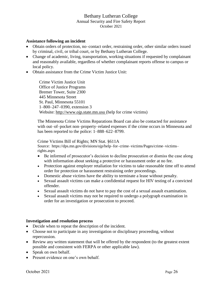#### **Assistance following an incident**

- Obtain orders of protection, no–contact order, restraining order, other similar orders issued by criminal, civil, or tribal court, or by Bethany Lutheran College.
- Change of academic, living, transportation, working situations if requested by complainant and reasonably available, regardless of whether complainant reports offense to campus or local policy.
- Obtain assistance from the Crime Victim Justice Unit:

Crime Victim Justice Unit Office of Justice Programs Bremer Tower, Suite 2300 445 Minnesota Street St. Paul, Minnesota 55101 1–800–247–0390, extension 3 Website: [http://www.ojp.state.mn.usu](http://www.ojp.state.mn.usu/) (help for crime victims)

The Minnesota Crime Victims Reparations Board can also be contacted for assistance with out–of–pocket non–property–related expenses if the crime occurs in Minnesota and has been reported to the police:  $1-888-622-8799$ .

#### Crime Victims Bill of Rights; MN Stat. §611A

Source: https://dps.mn.gov/divisions/ojp/help–for–crime–victims/Pages/crime–victims– rights.aspx

- Be informed of prosecutor's decision to decline prosecution or dismiss the case along with information about seeking a protective or harassment order at no fee.
- Protection against employer retaliation for victims to take reasonable time off to attend order for protection or harassment restraining order proceedings.
- Domestic abuse victims have the ability to terminate a lease without penalty.
- Sexual assault victims can make a confidential request for HIV testing of a convicted offender.
- Sexual assault victims do not have to pay the cost of a sexual assault examination.
- Sexual assault victims may not be required to undergo a polygraph examination in order for an investigation or prosecution to proceed.

#### **Investigation and resolution process**

- Decide when to repeat the description of the incident.
- Choose not to participate in any investigation or disciplinary proceeding, without repercussion.
- Review any written statement that will be offered by the respondent (to the greatest extent possible and consistent with FERPA or other applicable law).
- Speak on own behalf.
- Present evidence on one's own behalf.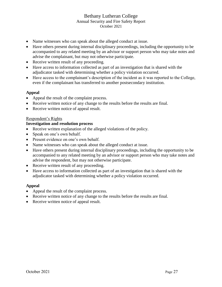- Name witnesses who can speak about the alleged conduct at issue.
- Have others present during internal disciplinary proceedings, including the opportunity to be accompanied to any related meeting by an advisor or support person who may take notes and advise the complainant, but may not otherwise participate.
- Receive written result of any proceeding.
- Have access to information collected as part of an investigation that is shared with the adjudicator tasked with determining whether a policy violation occurred.
- Have access to the complainant's description of the incident as it was reported to the College, even if the complainant has transferred to another postsecondary institution.

#### **Appeal**

- Appeal the result of the complaint process.
- Receive written notice of any change to the results before the results are final.
- Receive written notice of appeal result.

#### Respondent's Rights

#### **Investigation and resolution process**

- Receive written explanation of the alleged violations of the policy.
- Speak on one's own behalf.
- Present evidence on one's own behalf.
- Name witnesses who can speak about the alleged conduct at issue.
- Have others present during internal disciplinary proceedings, including the opportunity to be accompanied to any related meeting by an advisor or support person who may take notes and advise the respondent, but may not otherwise participate.
- Receive written result of any proceeding.
- Have access to information collected as part of an investigation that is shared with the adjudicator tasked with determining whether a policy violation occurred.

#### **Appeal**

- Appeal the result of the complaint process.
- Receive written notice of any change to the results before the results are final.
- Receive written notice of appeal result.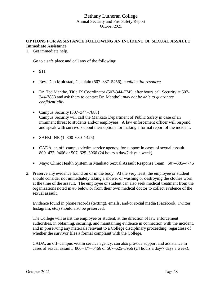# **OPTIONS FOR ASSISTANCE FOLLOWING AN INCIDENT OF SEXUAL ASSAULT Immediate Assistance**

1. Get immediate help.

Go to a safe place and call any of the following:

- 911
- Rev. Don Moldstad, Chaplain (507–387–5456); *confidential resource*
- Dr. Ted Manthe, Title IX Coordinator (507-344-7745; after hours call Security at 507-344-7888 and ask them to contact Dr. Manthe); *may not be able to guarantee confidentiality*
- Campus Security (507–344–7888) Campus Security will call the Mankato Department of Public Safety in case of an imminent threat to students and/or employees. A law enforcement officer will respond and speak with survivors about their options for making a formal report of the incident.
- SAFELINE (1-800-630-1425)
- CADA, an off–campus victim service agency, for support in cases of sexual assault: 800–477–0466 or 507–625–3966 (24 hours a day/7 days a week)
- Mayo Clinic Health System in Mankato Sexual Assault Response Team: 507–385–4745
- 2. Preserve any evidence found on or in the body. At the very least, the employee or student should consider not immediately taking a shower or washing or destroying the clothes worn at the time of the assault. The employee or student can also seek medical treatment from the organizations noted in #3 below or from their own medical doctor to collect evidence of the sexual assault.

Evidence found in phone records (texting), emails, and/or social media (Facebook, Twitter, Instagram, etc.) should also be preserved.

The College will assist the employee or student, at the direction of law enforcement authorities, in obtaining, securing, and maintaining evidence in connection with the incident, and in preserving any materials relevant to a College disciplinary proceeding, regardless of whether the survivor files a formal complaint with the College.

CADA, an off–campus victim service agency, can also provide support and assistance in cases of sexual assault: 800–477–0466 or 507–625–3966 (24 hours a day/7 days a week).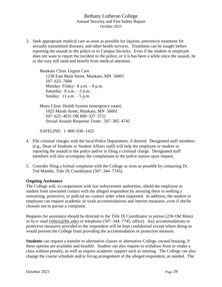3. Seek appropriate medical care as soon as possible for injuries, preventive treatment for sexually transmitted diseases, and other health services. Treatment can be sought before reporting the assault to the police or to Campus Security. Even if the student or employee does not want to report the incident to the police, or it is has been a while since the assault, he or she may still need and benefit from medical attention.

Mankato Clinic Urgent Care 1230 East Main Street, Mankato, MN 56001 507–625–7684 Monday–Friday:  $8$  a.m.  $-8$  p.m. Saturday:  $8$  a.m.  $-5$  p.m. Sunday: 11 a.m. – 5 p.m.

Mayo Clinic Health System (emergency room) 1025 Marsh Street, Mankato, MN 56001 507–625–4031 OR 800–327–3721 Sexual Assault Response Team: 507–385–4745

SAFELINE: 1–800–630–1425

- 4. File criminal charges with the local Police Department, if desired. Designated staff members (e.g., Dean of Students or Student Affairs staff) will help the employee or student in reporting the assault to the police and/or in filing a criminal charge. Designated staff members will also accompany the complainant to the police station upon request.
- 5. Consider filing a formal complaint with the College as soon as possible by contacting Dr. Ted Manthe, Title IX Coordinator (507–344–7745).

#### **Ongoing Assistance**

The College will, in cooperation with law enforcement authorities, shield the employee or student from unwanted contact with the alleged respondent by assisting them in seeking a restraining, protective, or judicial no–contact order when requested. In addition, the student or employee can request academic or work accommodations and interim measures, even if she/he chooses not to pursue a complaint.

Requests for assistance should be directed to the Title IX Coordinator in person (236 Old Main) or by e–mail [\(titleix@blc.edu\)](mailto:titleix@blc.edu) or telephone (507–344–7745, office). Any accommodations or protective measures provided to the respondent will be kept confidential except where doing so would prevent the College from providing the accommodation or protective measure.

**Students** can request a transfer to alternative classes or alternative College–owned housing, if these options are available and feasible. Student can also request to withdraw from or retake a class without penalty, as well as request academic support such as tutoring. The College can also change the course schedule and/or living arrangement of the alleged respondent, as needed. The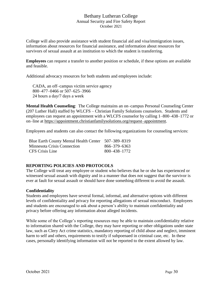College will also provide assistance with student financial aid and visa/immigration issues, information about resources for financial assistance, and information about resources for survivors of sexual assault at an institution to which the student is transferring.

**Employees** can request a transfer to another position or schedule, if these options are available and feasible.

Additional advocacy resources for both students and employees include:

CADA, an off–campus victim service agency 800–477–0466 or 507–625–3966 24 hours a day/7 days a week

**Mental Health Counseling**: The College maintains an on–campus Personal Counseling Center (207 Luther Hall) staffed by WLCFS – Christian Family Solutions counselors. Students and employees can request an appointment with a WLCFS counselor by calling 1–800–438–1772 or on–line at [https://appointment.christianfamilysolutions.org/request–appointment.](https://appointment.christianfamilysolutions.org/request-appointment)

Employees and students can also contact the following organizations for counseling services:

| Blue Earth County Mental Health Center 507–389–8319 |              |
|-----------------------------------------------------|--------------|
| Minnesota Crisis Connection                         | 866–379–6363 |
| CFS Crisis Line                                     | 800-438-1772 |

# **REPORTING POLICIES AND PROTOCOLS**

The College will treat any employee or student who believes that he or she has experienced or witnessed sexual assault with dignity and in a manner that does not suggest that the survivor is ever at fault for sexual assault or should have done something different to avoid the assault.

#### **Confidentiality**

Students and employees have several formal, informal, and alternative options with different levels of confidentiality and privacy for reporting allegations of sexual misconduct. Employees and students are encouraged to ask about a person's ability to maintain confidentiality and privacy before offering any information about alleged incidents.

While some of the College's reporting resources may be able to maintain confidentiality relative to information shared with the College, they may have reporting or other obligations under state law, such as Clery Act crime statistics, mandatory reporting of child abuse and neglect, imminent harm to self and others, requirements to testify if subpoenaed in criminal case, etc. In these cases, personally identifying information will not be reported to the extent allowed by law.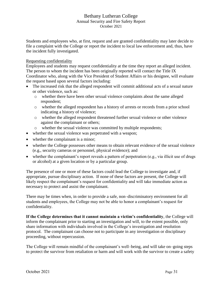Students and employees who, at first, request and are granted confidentiality may later decide to file a complaint with the College or report the incident to local law enforcement and, thus, have the incident fully investigated.

#### Requesting confidentiality

Employees and students may request confidentiality at the time they report an alleged incident. The person to whom the incident has been originally reported will contact the Title IX Coordinator who, along with the Vice President of Student Affairs or his designee, will evaluate the request based upon several factors including:

- The increased risk that the alleged respondent will commit additional acts of a sexual nature or other violence, such as:
	- o whether there have been other sexual violence complaints about the same alleged respondent;
	- o whether the alleged respondent has a history of arrests or records from a prior school indicating a history of violence;
	- o whether the alleged respondent threatened further sexual violence or other violence against the complainant or others;
	- o whether the sexual violence was committed by multiple respondents;
- whether the sexual violence was perpetrated with a weapon;
- whether the complainant is a minor;
- whether the College possesses other means to obtain relevant evidence of the sexual violence (e.g., security cameras or personnel, physical evidence); and
- whether the complainant's report reveals a pattern of perpetration (e.g., via illicit use of drugs or alcohol) at a given location or by a particular group.

The presence of one or more of these factors could lead the College to investigate and, if appropriate, pursue disciplinary action. If none of these factors are present, the College will likely respect the complainant's request for confidentiality and will take immediate action as necessary to protect and assist the complainant.

There may be times when, in order to provide a safe, non–discriminatory environment for all students and employees, the College may not be able to honor a complainant's request for confidentiality.

**If the College determines that it cannot maintain a victim's confidentiality**, the College will inform the complainant prior to starting an investigation and will, to the extent possible, only share information with individuals involved in the College's investigation and resolution protocol. The complainant can choose not to participate in any investigation or disciplinary proceeding, without repercussion.

The College will remain mindful of the complainant's well–being, and will take on–going steps to protect the survivor from retaliation or harm and will work with the survivor to create a safety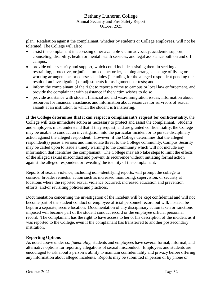plan. Retaliation against the complainant, whether by students or College employees, will not be tolerated. The College will also:

- assist the complainant in accessing other available victim advocacy, academic support, counseling, disability, health or mental health services, and legal assistance both on and off campus;
- provide other security and support, which could include assisting them in seeking a restraining, protective, or judicial no–contact order, helping arrange a change of living or working arrangements or course schedules (including for the alleged respondent pending the result of an investigation) or adjustments for assignments or tests; and
- inform the complainant of the right to report a crime to campus or local law enforcement, and provide the complainant with assistance if the victim wishes to do so.
- provide assistance with student financial aid and visa/immigration issues, information about resources for financial assistance, and information about resources for survivors of sexual assault at an institution to which the student is transferring.

**If the College determines that it can respect a complainant's request for confidentiality**, the College will take immediate action as necessary to protect and assist the complainant. Students and employees must understand that if they request, and are granted confidentiality, the College may be unable to conduct an investigation into the particular incident or to pursue disciplinary action against the alleged respondent. However, if the College determines that the alleged respondent(s) poses a serious and immediate threat to the College community, Campus Security may be called upon to issue a timely warning to the community which will not include any information that identifies the complainant. The College may also take steps to limit the effects of the alleged sexual misconduct and prevent its recurrence without initiating formal action against the alleged respondent or revealing the identity of the complainant.

Reports of sexual violence, including non–identifying reports, will prompt the college to consider broader remedial action such as increased monitoring, supervision, or security at locations where the reported sexual violence occurred; increased education and prevention efforts; and/or revisiting policies and practices.

Documentation concerning the investigation of the incident will be kept confidential and will not become part of the student conduct or employee official personnel record but will, instead, be kept in a separate, secure location. Documentation of any disciplinary action taken or sanctions imposed will become part of the student conduct record or the employee official personnel record.The complainant has the right to have access to her or his description of the incident as it was reported to the College, even if the complainant has transferred to another postsecondary institution.

# **Reporting Options**

As noted above under *confidentiality*, students and employees have several formal, informal, and alternative options for reporting allegations of sexual misconduct. Employees and students are encouraged to ask about a person's ability to maintain confidentiality and privacy before offering any information about alleged incidents. Reports may be submitted in person or by phone or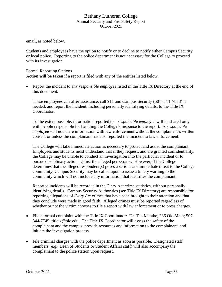email, as noted below.

Students and employees have the option to notify or to decline to notify either Campus Security or local police. Reporting to the police department is not necessary for the College to proceed with its investigation.

#### Formal Reporting Options

**Action will be taken** if a report is filed with any of the entities listed below.

• Report the incident to any *responsible employee* listed in the Title IX Directory at the end of this document.

These employees can offer assistance, call 911 and Campus Security (507–344–7888) if needed, and report the incident, including personally identifying details, to the Title IX Coordinator.

To the extent possible, information reported to a *responsible employee* will be shared only with people responsible for handling the College's response to the report. A *responsible employee* will not share information with law enforcement without the complainant's written consent or unless the complainant has also reported the incident to law enforcement.

The College will take immediate action as necessary to protect and assist the complainant. Employees and students must understand that if they request, and are granted confidentiality, the College may be unable to conduct an investigation into the particular incident or to pursue disciplinary action against the alleged perpetrator. However, if the College determines that the alleged respondent(s) poses a serious and immediate threat to the College community, Campus Security may be called upon to issue a timely warning to the community which will not include any information that identifies the complainant.

Reported incidents will be recorded in the Clery Act crime statistics, without personally identifying details. Campus Security Authorities (see Title IX Directory) are responsible for reporting allegations of *Clery Act* crimes that have been brought to their attention and that they conclude were made in good faith. Alleged crimes must be reported regardless of whether or not the victim chooses to file a report with law enforcement or to press charges.

- File a formal complaint with the Title IX Coordinator: Dr. Ted Manthe, 236 Old Main; 507-344-7745; [titleix@blc.edu.](mailto:titleix@blc.edu) The Title IX Coordinator will assess the safety of the complainant and the campus, provide resources and information to the complainant, and initiate the investigation process.
- File criminal charges with the police department as soon as possible. Designated staff members (e.g., Dean of Students or Student Affairs staff) will also accompany the complainant to the police station upon request.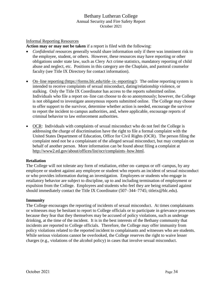#### Informal Reporting Resources

**Action may or may not be taken** if a report is filed with the following:

- *Confidential* resources generally would share information only if there was imminent risk to the employee, student, or others. However, these resources may have reporting or other obligations under state law, such as Clery Act crime statistics, mandatory reporting of child abuse and neglect, etc. Positions in this category are the Chaplain, and pastoral counselor faculty (see Title IX Directory for contact information).
- On–line reporting [\(https://forms.blc.edu/title–ix–reporting/\)](https://forms.blc.edu/title-ix-reporting/): The online reporting system is intended to receive complaints of sexual misconduct, dating/relationship violence, or stalking. Only the Title IX Coordinator has access to the reports submitted online. Individuals who file a report on–line can choose to do so anonymously; however, the College is not obligated to investigate anonymous reports submitted online. The College may choose to offer support to the survivor, determine whether action is needed, encourage the survivor to report the incident to campus authorities, and, where applicable, encourage reports of criminal behavior to law enforcement authorities.
- OCR: Individuals with complaints of sexual misconduct who do not feel the College is addressing the charge of discrimination have the right to file a formal complaint with the United States Department of Education, Office for Civil Rights (OCR). The person filing the complaint need not be a complainant of the alleged sexual misconduct, but may complain on behalf of another person. More information can be found about filing a complaint at [http://www2.ed.gov/about/offices/list/ocr/complaints–how.html.](http://www2.ed.gov/about/offices/list/ocr/complaints-how.html)

#### **Retaliation**

The College will not tolerate any form of retaliation, either on–campus or off–campus, by any employee or student against any employee or student who reports an incident of sexual misconduct or who provides information during an investigation. Employees or students who engage in retaliatory behavior are subject to discipline, up to and including termination of employment or expulsion from the College. Employees and students who feel they are being retaliated against should immediately contact the Title IX Coordinator (507–344–7745; titleix@blc.edu).

#### **Immunity**

The College encourages the reporting of incidents of sexual misconduct. At times complainants or witnesses may be hesitant to report to College officials or to participate in grievance processes because they fear that they themselves may be accused of policy violations, such as underage drinking, at the time of the incident. It is in the best interests of the Bethany community that incidents are reported to College officials. Therefore, the College may offer immunity from policy violations related to the reported incident to complainants and witnesses who are students. While serious violations cannot be overlooked, the College reserves the right to waive lesser charges (e.g., violations of the alcohol policy) in cases that involve sexual misconduct.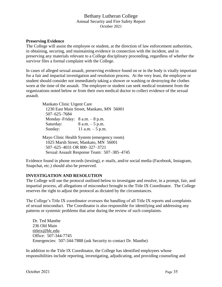#### **Preserving Evidence**

The College will assist the employee or student, at the direction of law enforcement authorities, in obtaining, securing, and maintaining evidence in connection with the incident, and in preserving any materials relevant to a College disciplinary proceeding, regardless of whether the survivor files a formal complaint with the College.

In cases of alleged sexual assault, preserving evidence found on or in the body is vitally important for a fair and impartial investigation and resolution process. At the very least, the employee or student should consider not immediately taking a shower or washing or destroying the clothes worn at the time of the assault. The employee or student can seek medical treatment from the organizations noted below or from their own medical doctor to collect evidence of the sexual assault.

Mankato Clinic Urgent Care 1230 East Main Street, Mankato, MN 56001 507–625–7684 Monday–Friday: 8 a.m. – 8 p.m. Saturday:  $8 a.m. - 5 p.m.$ Sunday: 11 a.m. – 5 p.m. Mayo Clinic Health System (emergency room) 1025 Marsh Street, Mankato, MN 56001

507–625–4031 OR 800–327–3721 Sexual Assault Response Team: 507–385–4745

Evidence found in phone records (texting), e–mails, and/or social media (Facebook, Instagram, Snapchat, etc.) should also be preserved.

#### **INVESTIGATION AND RESOLUTION**

The College will use the protocol outlined below to investigate and resolve, in a prompt, fair, and impartial process, all allegations of misconduct brought to the Title IX Coordinator. The College reserves the right to adjust the protocol as dictated by the circumstances.

The College's Title IX coordinator oversees the handling of all Title IX reports and complaints of sexual misconduct. The Coordinator is also responsible for identifying and addressing any patterns or systemic problems that arise during the review of such complaints.

Dr. Ted Manthe 236 Old Main [titleix@blc.edu](mailto:titleix@blc.edu) Office: 507-344-7745 Emergencies: 507-344-7888 (ask Security to contact Dr. Manthe)

In addition to the Title IX Coordinator, the College has identified employees whose responsibilities include reporting, investigating, adjudicating, and providing counseling and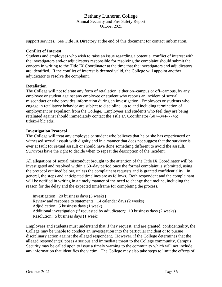support services. See Title IX Directory at the end of this document for contact information.

#### **Conflict of Interest**

Students and employees who wish to raise an issue regarding a potential conflict of interest with the investigators and/or adjudicators responsible for resolving the complaint should submit the concern in writing to the Title IX Coordinator at the time that the investigators and adjudicators are identified. If the conflict of interest is deemed valid, the College will appoint another adjudicator to resolve the complaint.

#### **Retaliation**

The College will not tolerate any form of retaliation, either on–campus or off–campus, by any employee or student against any employee or student who reports an incident of sexual misconduct or who provides information during an investigation. Employees or students who engage in retaliatory behavior are subject to discipline, up to and including termination of employment or expulsion from the College. Employees and students who feel they are being retaliated against should immediately contact the Title IX Coordinator (507–344–7745; titleix@blc.edu).

#### **Investigation Protocol**

The College will treat any employee or student who believes that he or she has experienced or witnessed sexual assault with dignity and in a manner that does not suggest that the survivor is ever at fault for sexual assault or should have done something different to avoid the assault. Survivors have the right to decide when to repeat the description of the incident.

All allegations of sexual misconduct brought to the attention of the Title IX Coordinator will be investigated and resolved within a 60–day period once the formal complaint is submitted, using the protocol outlined below, unless the complainant requests and is granted confidentiality. In general, the steps and anticipated timelines are as follows. Both respondent and the complainant will be notified in writing in a timely manner of the need to change the timeline, including the reason for the delay and the expected timeframe for completing the process.

Investigation: 20 business days (3 weeks) Review and response to statements: 14 calendar days (2 weeks) Adjudication: 5 business days (1 week) Additional investigation (if requested by adjudicator): 10 business days (2 weeks) Resolution: 5 business days (1 week)

Employees and students must understand that if they request, and are granted, confidentiality, the College may be unable to conduct an investigation into the particular incident or to pursue disciplinary action against the alleged respondent. However, if the College determines that the alleged respondent(s) poses a serious and immediate threat to the College community, Campus Security may be called upon to issue a timely warning to the community which will not include any information that identifies the victim. The College may also take steps to limit the effects of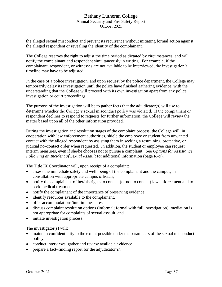the alleged sexual misconduct and prevent its recurrence without initiating formal action against the alleged respondent or revealing the identity of the complainant.

The College reserves the right to adjust the time period as dictated by circumstances, and will notify the complainant and respondent simultaneously in writing. For example, if the complainant, respondent, or witnesses are not available to be interviewed, the investigation's timeline may have to be adjusted.

In the case of a police investigation, and upon request by the police department, the College may temporarily delay its investigation until the police have finished gathering evidence, with the understanding that the College will proceed with its own investigation apart from any police investigation or court proceedings.

The purpose of the investigation will be to gather facts that the adjudicator(s) will use to determine whether the College's sexual misconduct policy was violated. If the complainant or respondent declines to respond to requests for further information, the College will review the matter based upon all of the other information provided.

During the investigation and resolution stages of the complaint process, the College will, in cooperation with law enforcement authorities, shield the employee or student from unwanted contact with the alleged respondent by assisting them in seeking a restraining, protective, or judicial no–contact order when requested. In addition, the student or employee can request interim measures, even if she/he chooses not to pursue a complaint. See *Options for Assistance Following an Incident of Sexual Assault* for additional information (page R–9).

The Title IX Coordinator will, upon receipt of a complaint:

- assess the immediate safety and well–being of the complainant and the campus, in consultation with appropriate campus officials,
- notify the complainant of her/his rights to contact (or not to contact) law enforcement and to seek medical treatment,
- notify the complainant of the importance of preserving evidence,
- identify resources available to the complainant,
- offer accommodations/interim measures,
- discuss complaint resolution options (informal; formal with full investigation); mediation is not appropriate for complaints of sexual assault, and
- initiate investigation process.

The investigator(s) will:

- maintain confidentiality to the extent possible under the parameters of the sexual misconduct policy,
- conduct interviews, gather and review available evidence,
- prepare a fact–finding report for the adjudicator(s).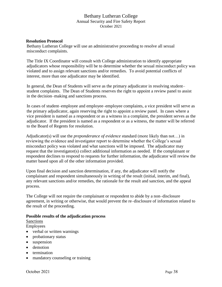#### **Resolution Protocol**

Bethany Lutheran College will use an administrative proceeding to resolve all sexual misconduct complaints.

The Title IX Coordinator will consult with College administration to identify appropriate adjudicators whose responsibility will be to determine whether the sexual misconduct policy was violated and to assign relevant sanctions and/or remedies. To avoid potential conflicts of interest, more than one adjudicator may be identified.

In general, the Dean of Students will serve as the primary adjudicator in resolving student– student complaints. The Dean of Students reserves the right to appoint a review panel to assist in the decision–making and sanctions process.

In cases of student–employee and employee–employee complaints, a vice president will serve as the primary adjudicator, again reserving the right to appoint a review panel. In cases where a vice president is named as a respondent or as a witness in a complaint, the president serves as the adjudicator. If the president is named as a respondent or as a witness, the matter will be referred to the Board of Regents for resolution.

Adjudicator(s) will use the *preponderance of evidence* standard (more likely than not…) in reviewing the evidence and investigator report to determine whether the College's sexual misconduct policy was violated and what sanctions will be imposed. The adjudicator may request that the investigator(s) collect additional information as needed. If the complainant or respondent declines to respond to requests for further information, the adjudicator will review the matter based upon all of the other information provided.

Upon final decision and sanction determination, if any, the adjudicator will notify the complainant and respondent simultaneously in writing of the result (initial, interim, and final), any relevant sanctions and/or remedies, the rationale for the result and sanction, and the appeal process.

The College will not require the complainant or respondent to abide by a non–disclosure agreement, in writing or otherwise, that would prevent the re–disclosure of information related to the result of the proceeding.

#### **Possible results of the adjudication process**

#### Sanctions

Employees

- verbal or written warnings
- probationary status
- suspension
- demotion
- termination
- mandatory counseling or training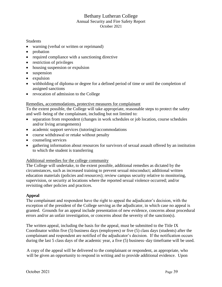#### **Students**

- warning (verbal or written or reprimand)
- probation
- required compliance with a sanctioning directive
- restriction of privileges
- housing suspension or expulsion
- suspension
- expulsion
- withholding of diploma or degree for a defined period of time or until the completion of assigned sanctions
- revocation of admission to the College

#### Remedies, accommodations, protective measures for complainant

To the extent possible, the College will take appropriate, reasonable steps to protect the safety and well–being of the complainant, including but not limited to:

- separation from respondent (changes in work schedules or job location, course schedules and/or living arrangements)
- academic support services (tutoring)/accommodations
- course withdrawal or retake without penalty
- counseling services
- gathering information about resources for survivors of sexual assault offered by an institution to which the student is transferring

#### Additional remedies for the college community

The College will undertake, to the extent possible, additional remedies as dictated by the circumstances, such as increased training to prevent sexual misconduct; additional written education materials (policies and resources); review campus security relative to monitoring, supervision, or security at locations where the reported sexual violence occurred; and/or revisiting other policies and practices.

#### **Appeal**

The complainant and respondent have the right to appeal the adjudicator's decision, with the exception of the president of the College serving as the adjudicator, in which case no appeal is granted. Grounds for an appeal include presentation of new evidence, concerns about procedural errors and/or an unfair investigation, or concerns about the severity of the sanction(s).

The written appeal, including the basis for the appeal, must be submitted to the Title IX Coordinator within five (5) business days (employees) or five (5) class days (students) after the complainant and respondent are notified of the adjudicator's decision. If the notification occurs during the last 5 class days of the academic year, a five (5) business–day timeframe will be used.

A copy of the appeal will be delivered to the complainant or respondent, as appropriate, who will be given an opportunity to respond in writing and to provide additional evidence. Upon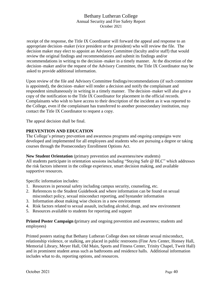receipt of the response, the Title IX Coordinator will forward the appeal and response to an appropriate decision–maker (vice president or the president) who will review the file. The decision maker may elect to appoint an Advisory Committee (faculty and/or staff) that would review the original findings and recommendations and submit its findings and/or recommendations in writing to the decision–maker in a timely manner. At the discretion of the decision–maker and/or the request of the Advisory Committee, the Title IX Coordinator may be asked to provide additional information.

Upon review of the file and Advisory Committee findings/recommendations (if such committee is appointed), the decision–maker will render a decision and notify the complainant and respondent simultaneously in writing in a timely manner. The decision–maker will also give a copy of the notification to the Title IX Coordinator for placement in the official records. Complainants who wish to have access to their description of the incident as it was reported to the College, even if the complainant has transferred to another postsecondary institution, may contact the Title IX Coordinator to request a copy.

The appeal decision shall be final.

# **PREVENTION AND EDUCATION**

The College's primary prevention and awareness programs and ongoing campaigns were developed and implemented for all employees and students who are pursuing a degree or taking courses through the Postsecondary Enrollment Options Act.

**New Student Orientation** (primary prevention and awareness/new students)

All students participate in orientation sessions including "Staying Safe @ BLC" which addresses the risk factors inherent in the college experience, smart decision making, and available supportive resources.

Specific information includes:

- 1. Resources in personal safety including campus security, counseling, etc.
- 2. References to the Student Guidebook and where information can be found on sexual misconduct policy, sexual misconduct reporting, and bystander information
- 3. Information about making wise choices in a new environment
- 4. Risk factors related to sexual assault, including alcohol, drugs, and new environment
- 5. Resources available to students for reporting and support

**Printed Poster Campaign** (primary and ongoing prevention and awareness; students and employees)

Printed posters stating that Bethany Lutheran College does not tolerate sexual misconduct, relationship violence, or stalking, are placed in public restrooms (Fine Arts Center, Honsey Hall, Memorial Library, Meyer Hall, Old Main, Sports and Fitness Center, Trinity Chapel, Tweit Hall) and in prominent student areas such as bathrooms and residence halls. Additional information includes what to do, reporting options, and resources.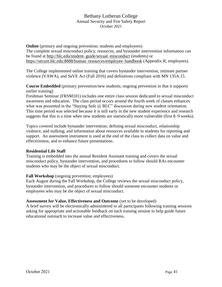**Online** (primary and ongoing prevention; students and employees) The complete sexual misconduct policy, resources, and bystander intervention information can be found at [http://blc.edu/student–guide/sexual–misconduct](http://blc.edu/student-guide/sexual-misconduct) (students) or [https://secure.blc.edu:8888/human–resources/employee–handbook](https://secure.blc.edu:8888/human-resources/employee-handbook) (Appendix R; employees).

The College implemented online training that covers bystander intervention, intimate partner violence (VAWA), and SaVE Act (Fall 2016) and definitions compliant with MN 135A.15.

**Course Embedded** (primary prevention/new students; ongoing prevention in that it supports earlier training)

Freshman Seminar (FRSM101) includes one entire class session dedicated to sexual misconduct awareness and education. The class period occurs around the fourth week of classes enhances what was presented in the "Staying Safe @ BLC" discussion during new student orientation. This time period was selected because it is still early in the new student experience and research suggests that this is a time when new students are statistically more vulnerable (first 8–9 weeks).

Topics covered include bystander intervention; defining sexual misconduct, relationship violence, and stalking; and information about resources available to students for reporting and support. An assessment instrument is used at the end of the class to collect data on value and effectiveness, and to enhance future presentations.

# **Residential Life Staff**

Training is embedded into the annual Resident Assistant training and covers the sexual misconduct policy, bystander intervention, and procedures to follow should RAs encounter students who may be the object of sexual misconduct.

# **Fall Workshop** (ongoing prevention; employees)

Each August during the Fall Workshop, the College reviews the sexual misconduct policy, bystander intervention, and procedures to follow should someone encounter students or employees who may be the object of sexual misconduct.

# **Assessment for Value, Effectiveness and Outcome** (yet to be developed)

A brief survey will be electronically administered to all participants following training sessions asking for appropriate and actionable feedback on each training session to help guide future educational outreach to increase value and effectiveness.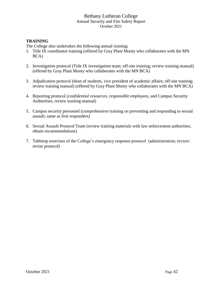# **TRAINING**

The College also undertakes the following annual training:

- 1. Title IX coordinator training (offered by Gray Plant Mooty who collaborates with the MN BCA)
- 2. Investigation protocol (Title IX investigation team; off-site training; review training manual) (offered by Gray Plant Mooty who collaborates with the MN BCA)
- 3. Adjudication protocol (dean of students, vice president of academic affairs; off-site training; review training manual) (offered by Gray Plant Mooty who collaborates with the MN BCA)
- 4. Reporting protocol (*confidential resources*, *responsible employees,* and Campus Security Authorities; review training manual)
- 5. Campus security personnel (comprehensive training on preventing and responding to sexual assault; same as first responders)
- 6. Sexual Assault Protocol Team (review training materials with law enforcement authorities; obtain recommendations)
- 7. Tabletop exercises of the College's emergency response protocol (administration; review/ revise protocol)